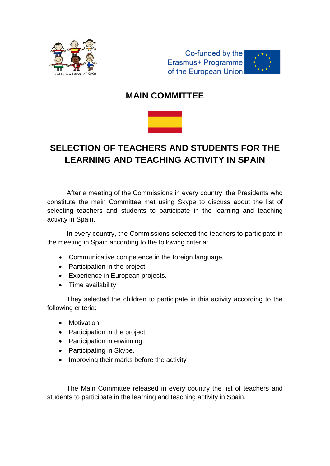

Co-funded by the Erasmus+ Programme of the European Union



# **MAIN COMMITTEE**



# **SELECTION OF TEACHERS AND STUDENTS FOR THE LEARNING AND TEACHING ACTIVITY IN SPAIN**

After a meeting of the Commissions in every country, the Presidents who constitute the main Committee met using Skype to discuss about the list of selecting teachers and students to participate in the learning and teaching activity in Spain.

In every country, the Commissions selected the teachers to participate in the meeting in Spain according to the following criteria:

- Communicative competence in the foreign language.
- Participation in the project.
- Experience in European projects.
- Time availability

They selected the children to participate in this activity according to the following criteria:

- Motivation.
- Participation in the project.
- Participation in etwinning.
- Participating in Skype.
- Improving their marks before the activity

The Main Committee released in every country the list of teachers and students to participate in the learning and teaching activity in Spain.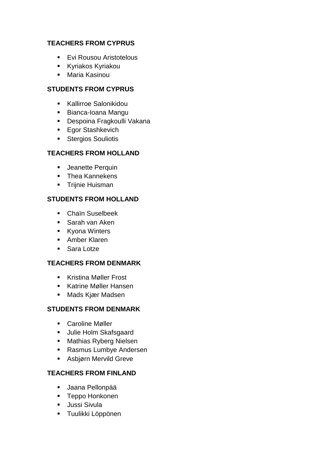#### **TEACHERS FROM CYPRUS**

- **Evi Rousou Aristotelous**
- **Kyriakos Kyriakou**
- Maria Kasinou

#### **STUDENTS FROM CYPRUS**

- **Kallirroe Salonikidou**
- Bianca-Ioana Mangu
- Despoina Fragkoulli Vakana
- **Egor Stashkevich**
- **Stergios Souliotis**

# **TEACHERS FROM HOLLAND**

- **Jeanette Perquin**
- **Thea Kannekens**
- **Triinie Huisman**

# **STUDENTS FROM HOLLAND**

- Chaïn Suselbeek
- **Sarah van Aken**
- Kyona Winters
- Amber Klaren
- Sara Lotze

# **TEACHERS FROM DENMARK**

- Kristina Møller Frost
- Katrine Møller Hansen
- **Mads Kjær Madsen**

# **STUDENTS FROM DENMARK**

- Caroline Møller
- **Julie Holm Skafsgaard**
- **Mathias Ryberg Nielsen**
- **Rasmus Lumbye Andersen**
- Asbjørn Mervild Greve

# **TEACHERS FROM FINLAND**

- Jaana Pellonpää
- **Teppo Honkonen**
- **Jussi Sivula**
- **Tuulikki Löppönen**